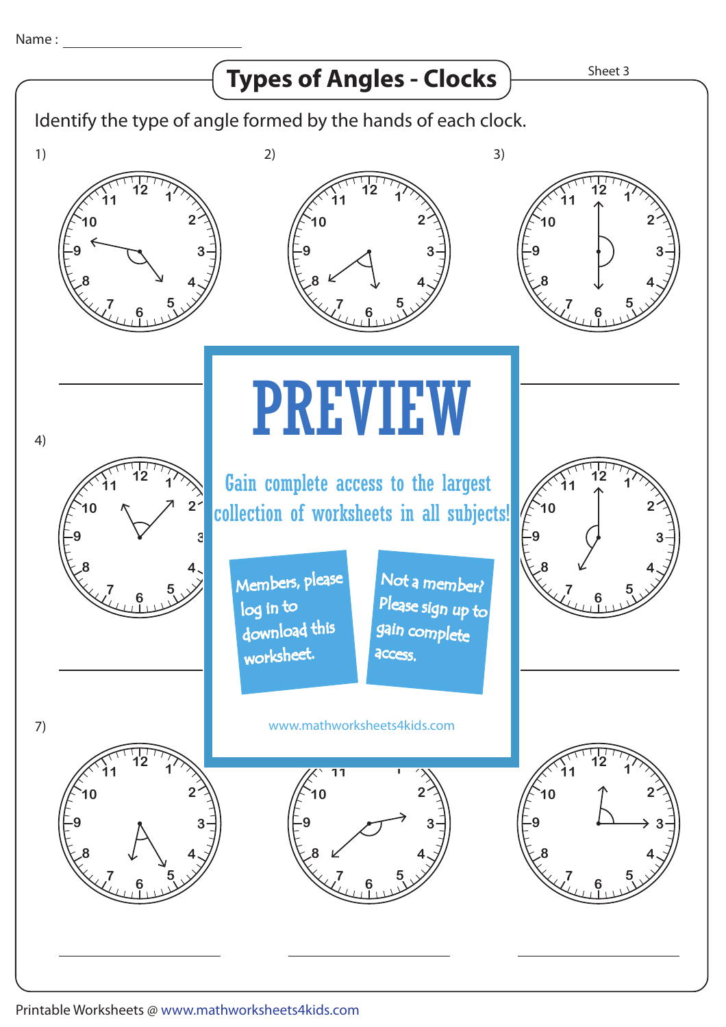